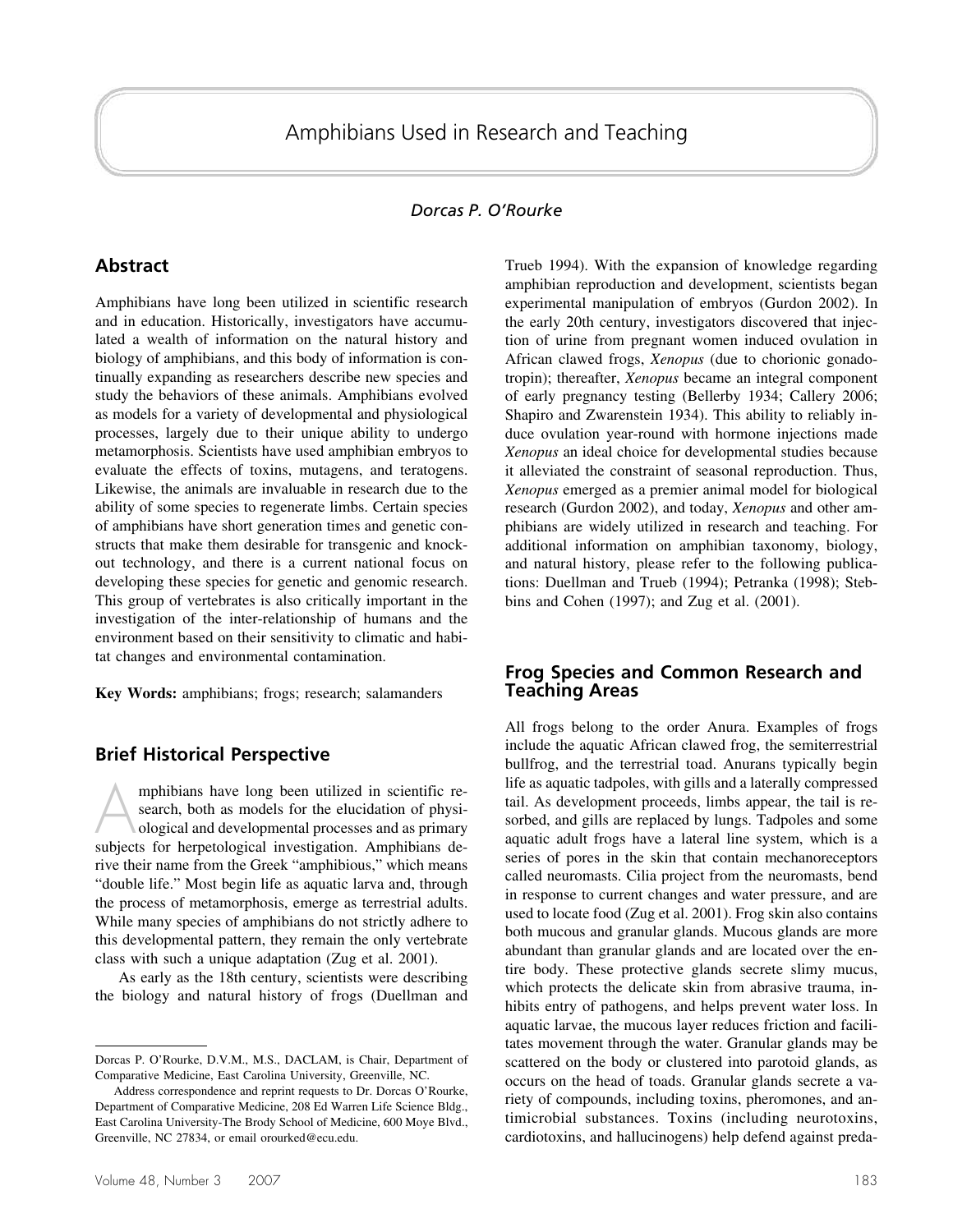*Dorcas P. O'Rourke*

# **Abstract**

Amphibians have long been utilized in scientific research and in education. Historically, investigators have accumulated a wealth of information on the natural history and biology of amphibians, and this body of information is continually expanding as researchers describe new species and study the behaviors of these animals. Amphibians evolved as models for a variety of developmental and physiological processes, largely due to their unique ability to undergo metamorphosis. Scientists have used amphibian embryos to evaluate the effects of toxins, mutagens, and teratogens. Likewise, the animals are invaluable in research due to the ability of some species to regenerate limbs. Certain species of amphibians have short generation times and genetic constructs that make them desirable for transgenic and knockout technology, and there is a current national focus on developing these species for genetic and genomic research. This group of vertebrates is also critically important in the investigation of the inter-relationship of humans and the environment based on their sensitivity to climatic and habitat changes and environmental contamination.

**Key Words:** amphibians; frogs; research; salamanders

#### **Brief Historical Perspective**

mphibians have long been utilized in scientific research, both as models for the elucidation of physiological and developmental processes and as primary subjects for herpetological investigation. Amphibians derive their name from the Greek "amphibious," which means "double life." Most begin life as aquatic larva and, through the process of metamorphosis, emerge as terrestrial adults. While many species of amphibians do not strictly adhere to this developmental pattern, they remain the only vertebrate class with such a unique adaptation (Zug et al. 2001).

As early as the 18th century, scientists were describing the biology and natural history of frogs (Duellman and Trueb 1994). With the expansion of knowledge regarding amphibian reproduction and development, scientists began experimental manipulation of embryos (Gurdon 2002). In the early 20th century, investigators discovered that injection of urine from pregnant women induced ovulation in African clawed frogs, *Xenopus* (due to chorionic gonadotropin); thereafter, *Xenopus* became an integral component of early pregnancy testing (Bellerby 1934; Callery 2006; Shapiro and Zwarenstein 1934). This ability to reliably induce ovulation year-round with hormone injections made *Xenopus* an ideal choice for developmental studies because it alleviated the constraint of seasonal reproduction. Thus, *Xenopus* emerged as a premier animal model for biological research (Gurdon 2002), and today, *Xenopus* and other amphibians are widely utilized in research and teaching. For additional information on amphibian taxonomy, biology, and natural history, please refer to the following publications: Duellman and Trueb (1994); Petranka (1998); Stebbins and Cohen (1997); and Zug et al. (2001).

### **Frog Species and Common Research and Teaching Areas**

All frogs belong to the order Anura. Examples of frogs include the aquatic African clawed frog, the semiterrestrial bullfrog, and the terrestrial toad. Anurans typically begin life as aquatic tadpoles, with gills and a laterally compressed tail. As development proceeds, limbs appear, the tail is resorbed, and gills are replaced by lungs. Tadpoles and some aquatic adult frogs have a lateral line system, which is a series of pores in the skin that contain mechanoreceptors called neuromasts. Cilia project from the neuromasts, bend in response to current changes and water pressure, and are used to locate food (Zug et al. 2001). Frog skin also contains both mucous and granular glands. Mucous glands are more abundant than granular glands and are located over the entire body. These protective glands secrete slimy mucus, which protects the delicate skin from abrasive trauma, inhibits entry of pathogens, and helps prevent water loss. In aquatic larvae, the mucous layer reduces friction and facilitates movement through the water. Granular glands may be scattered on the body or clustered into parotoid glands, as occurs on the head of toads. Granular glands secrete a variety of compounds, including toxins, pheromones, and antimicrobial substances. Toxins (including neurotoxins, cardiotoxins, and hallucinogens) help defend against preda-

Dorcas P. O'Rourke, D.V.M., M.S., DACLAM, is Chair, Department of Comparative Medicine, East Carolina University, Greenville, NC.

Address correspondence and reprint requests to Dr. Dorcas O'Rourke, Department of Comparative Medicine, 208 Ed Warren Life Science Bldg., East Carolina University-The Brody School of Medicine, 600 Moye Blvd., Greenville, NC 27834, or email orourked@ecu.edu.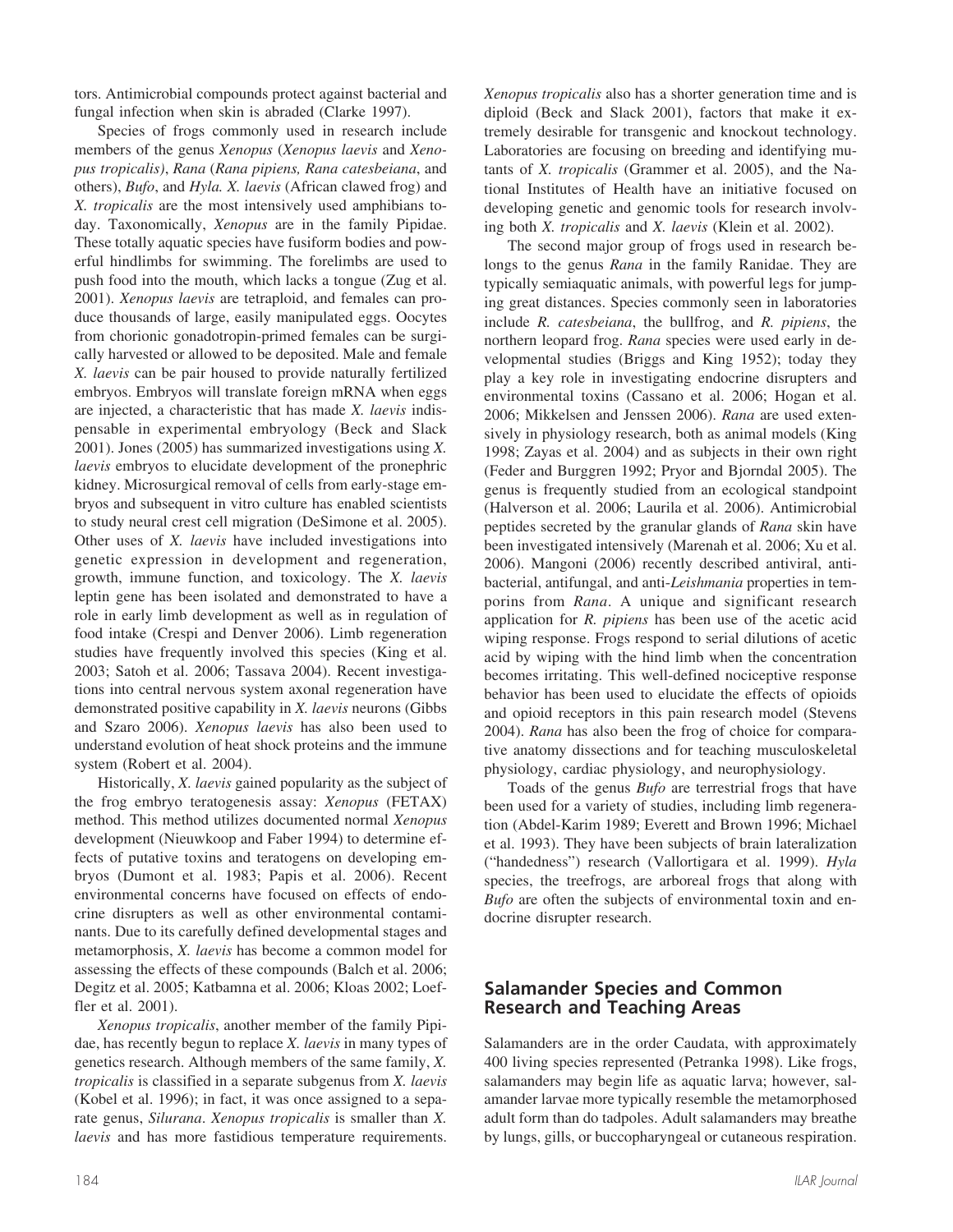tors. Antimicrobial compounds protect against bacterial and fungal infection when skin is abraded (Clarke 1997).

Species of frogs commonly used in research include members of the genus *Xenopus* (*Xenopus laevis* and *Xenopus tropicalis)*, *Rana* (*Rana pipiens, Rana catesbeiana*, and others), *Bufo*, and *Hyla. X. laevis* (African clawed frog) and *X. tropicalis* are the most intensively used amphibians today. Taxonomically, *Xenopus* are in the family Pipidae. These totally aquatic species have fusiform bodies and powerful hindlimbs for swimming. The forelimbs are used to push food into the mouth, which lacks a tongue (Zug et al. 2001). *Xenopus laevis* are tetraploid, and females can produce thousands of large, easily manipulated eggs. Oocytes from chorionic gonadotropin-primed females can be surgically harvested or allowed to be deposited. Male and female *X. laevis* can be pair housed to provide naturally fertilized embryos. Embryos will translate foreign mRNA when eggs are injected, a characteristic that has made *X. laevis* indispensable in experimental embryology (Beck and Slack 2001). Jones (2005) has summarized investigations using *X. laevis* embryos to elucidate development of the pronephric kidney. Microsurgical removal of cells from early-stage embryos and subsequent in vitro culture has enabled scientists to study neural crest cell migration (DeSimone et al. 2005). Other uses of *X. laevis* have included investigations into genetic expression in development and regeneration, growth, immune function, and toxicology. The *X. laevis* leptin gene has been isolated and demonstrated to have a role in early limb development as well as in regulation of food intake (Crespi and Denver 2006). Limb regeneration studies have frequently involved this species (King et al. 2003; Satoh et al. 2006; Tassava 2004). Recent investigations into central nervous system axonal regeneration have demonstrated positive capability in *X. laevis* neurons (Gibbs and Szaro 2006). *Xenopus laevis* has also been used to understand evolution of heat shock proteins and the immune system (Robert et al. 2004).

Historically, *X. laevis* gained popularity as the subject of the frog embryo teratogenesis assay: *Xenopus* (FETAX) method. This method utilizes documented normal *Xenopus* development (Nieuwkoop and Faber 1994) to determine effects of putative toxins and teratogens on developing embryos (Dumont et al. 1983; Papis et al. 2006). Recent environmental concerns have focused on effects of endocrine disrupters as well as other environmental contaminants. Due to its carefully defined developmental stages and metamorphosis, *X. laevis* has become a common model for assessing the effects of these compounds (Balch et al. 2006; Degitz et al. 2005; Katbamna et al. 2006; Kloas 2002; Loeffler et al. 2001).

*Xenopus tropicalis*, another member of the family Pipidae, has recently begun to replace *X. laevis* in many types of genetics research. Although members of the same family, *X. tropicalis* is classified in a separate subgenus from *X. laevis* (Kobel et al. 1996); in fact, it was once assigned to a separate genus, *Silurana*. *Xenopus tropicalis* is smaller than *X. laevis* and has more fastidious temperature requirements.

*Xenopus tropicalis* also has a shorter generation time and is diploid (Beck and Slack 2001), factors that make it extremely desirable for transgenic and knockout technology. Laboratories are focusing on breeding and identifying mutants of *X. tropicalis* (Grammer et al. 2005), and the National Institutes of Health have an initiative focused on developing genetic and genomic tools for research involving both *X. tropicalis* and *X. laevis* (Klein et al. 2002).

The second major group of frogs used in research belongs to the genus *Rana* in the family Ranidae. They are typically semiaquatic animals, with powerful legs for jumping great distances. Species commonly seen in laboratories include *R. catesbeiana*, the bullfrog, and *R. pipiens*, the northern leopard frog. *Rana* species were used early in developmental studies (Briggs and King 1952); today they play a key role in investigating endocrine disrupters and environmental toxins (Cassano et al. 2006; Hogan et al. 2006; Mikkelsen and Jenssen 2006). *Rana* are used extensively in physiology research, both as animal models (King 1998; Zayas et al. 2004) and as subjects in their own right (Feder and Burggren 1992; Pryor and Bjorndal 2005). The genus is frequently studied from an ecological standpoint (Halverson et al. 2006; Laurila et al. 2006). Antimicrobial peptides secreted by the granular glands of *Rana* skin have been investigated intensively (Marenah et al. 2006; Xu et al. 2006). Mangoni (2006) recently described antiviral, antibacterial, antifungal, and anti-*Leishmania* properties in temporins from *Rana*. A unique and significant research application for *R. pipiens* has been use of the acetic acid wiping response. Frogs respond to serial dilutions of acetic acid by wiping with the hind limb when the concentration becomes irritating. This well-defined nociceptive response behavior has been used to elucidate the effects of opioids and opioid receptors in this pain research model (Stevens 2004). *Rana* has also been the frog of choice for comparative anatomy dissections and for teaching musculoskeletal physiology, cardiac physiology, and neurophysiology.

Toads of the genus *Bufo* are terrestrial frogs that have been used for a variety of studies, including limb regeneration (Abdel-Karim 1989; Everett and Brown 1996; Michael et al. 1993). They have been subjects of brain lateralization ("handedness") research (Vallortigara et al. 1999). *Hyla* species, the treefrogs, are arboreal frogs that along with *Bufo* are often the subjects of environmental toxin and endocrine disrupter research.

#### **Salamander Species and Common Research and Teaching Areas**

Salamanders are in the order Caudata, with approximately 400 living species represented (Petranka 1998). Like frogs, salamanders may begin life as aquatic larva; however, salamander larvae more typically resemble the metamorphosed adult form than do tadpoles. Adult salamanders may breathe by lungs, gills, or buccopharyngeal or cutaneous respiration.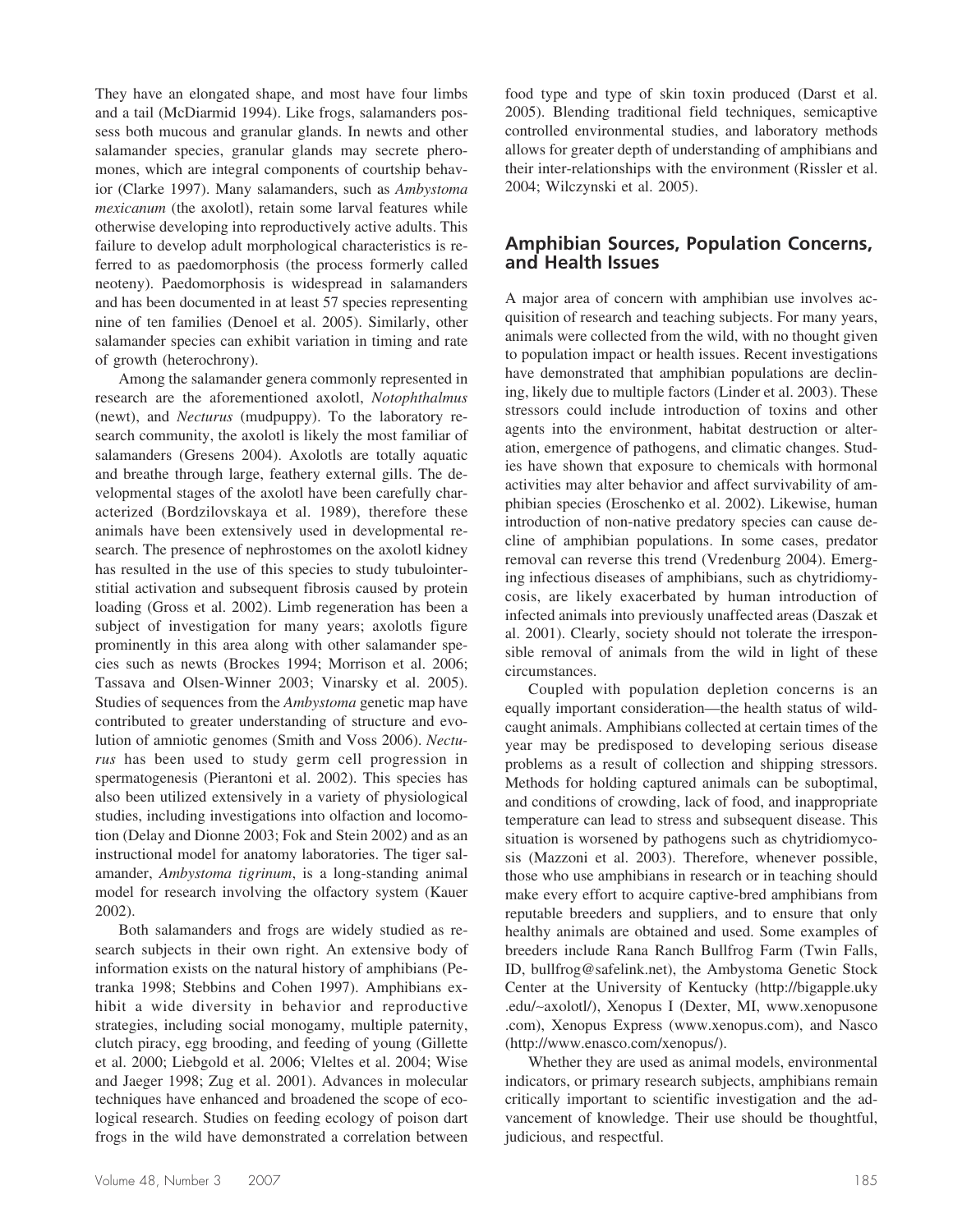They have an elongated shape, and most have four limbs and a tail (McDiarmid 1994). Like frogs, salamanders possess both mucous and granular glands. In newts and other salamander species, granular glands may secrete pheromones, which are integral components of courtship behavior (Clarke 1997). Many salamanders, such as *Ambystoma mexicanum* (the axolotl), retain some larval features while otherwise developing into reproductively active adults. This failure to develop adult morphological characteristics is referred to as paedomorphosis (the process formerly called neoteny). Paedomorphosis is widespread in salamanders and has been documented in at least 57 species representing nine of ten families (Denoel et al. 2005). Similarly, other salamander species can exhibit variation in timing and rate of growth (heterochrony).

Among the salamander genera commonly represented in research are the aforementioned axolotl, *Notophthalmus* (newt), and *Necturus* (mudpuppy). To the laboratory research community, the axolotl is likely the most familiar of salamanders (Gresens 2004). Axolotls are totally aquatic and breathe through large, feathery external gills. The developmental stages of the axolotl have been carefully characterized (Bordzilovskaya et al. 1989), therefore these animals have been extensively used in developmental research. The presence of nephrostomes on the axolotl kidney has resulted in the use of this species to study tubulointerstitial activation and subsequent fibrosis caused by protein loading (Gross et al. 2002). Limb regeneration has been a subject of investigation for many years; axolotls figure prominently in this area along with other salamander species such as newts (Brockes 1994; Morrison et al. 2006; Tassava and Olsen-Winner 2003; Vinarsky et al. 2005). Studies of sequences from the *Ambystoma* genetic map have contributed to greater understanding of structure and evolution of amniotic genomes (Smith and Voss 2006). *Necturus* has been used to study germ cell progression in spermatogenesis (Pierantoni et al. 2002). This species has also been utilized extensively in a variety of physiological studies, including investigations into olfaction and locomotion (Delay and Dionne 2003; Fok and Stein 2002) and as an instructional model for anatomy laboratories. The tiger salamander, *Ambystoma tigrinum*, is a long-standing animal model for research involving the olfactory system (Kauer 2002).

Both salamanders and frogs are widely studied as research subjects in their own right. An extensive body of information exists on the natural history of amphibians (Petranka 1998; Stebbins and Cohen 1997). Amphibians exhibit a wide diversity in behavior and reproductive strategies, including social monogamy, multiple paternity, clutch piracy, egg brooding, and feeding of young (Gillette et al. 2000; Liebgold et al. 2006; Vleltes et al. 2004; Wise and Jaeger 1998; Zug et al. 2001). Advances in molecular techniques have enhanced and broadened the scope of ecological research. Studies on feeding ecology of poison dart frogs in the wild have demonstrated a correlation between

food type and type of skin toxin produced (Darst et al. 2005). Blending traditional field techniques, semicaptive controlled environmental studies, and laboratory methods allows for greater depth of understanding of amphibians and their inter-relationships with the environment (Rissler et al. 2004; Wilczynski et al. 2005).

# **Amphibian Sources, Population Concerns, and Health Issues**

A major area of concern with amphibian use involves acquisition of research and teaching subjects. For many years, animals were collected from the wild, with no thought given to population impact or health issues. Recent investigations have demonstrated that amphibian populations are declining, likely due to multiple factors (Linder et al. 2003). These stressors could include introduction of toxins and other agents into the environment, habitat destruction or alteration, emergence of pathogens, and climatic changes. Studies have shown that exposure to chemicals with hormonal activities may alter behavior and affect survivability of amphibian species (Eroschenko et al. 2002). Likewise, human introduction of non-native predatory species can cause decline of amphibian populations. In some cases, predator removal can reverse this trend (Vredenburg 2004). Emerging infectious diseases of amphibians, such as chytridiomycosis, are likely exacerbated by human introduction of infected animals into previously unaffected areas (Daszak et al. 2001). Clearly, society should not tolerate the irresponsible removal of animals from the wild in light of these circumstances.

Coupled with population depletion concerns is an equally important consideration—the health status of wildcaught animals. Amphibians collected at certain times of the year may be predisposed to developing serious disease problems as a result of collection and shipping stressors. Methods for holding captured animals can be suboptimal, and conditions of crowding, lack of food, and inappropriate temperature can lead to stress and subsequent disease. This situation is worsened by pathogens such as chytridiomycosis (Mazzoni et al. 2003). Therefore, whenever possible, those who use amphibians in research or in teaching should make every effort to acquire captive-bred amphibians from reputable breeders and suppliers, and to ensure that only healthy animals are obtained and used. Some examples of breeders include Rana Ranch Bullfrog Farm (Twin Falls, ID, bullfrog@safelink.net), the Ambystoma Genetic Stock Center at the University of Kentucky (http://bigapple.uky .edu/∼axolotl/), Xenopus I (Dexter, MI, www.xenopusone .com), Xenopus Express (www.xenopus.com), and Nasco (http://www.enasco.com/xenopus/).

Whether they are used as animal models, environmental indicators, or primary research subjects, amphibians remain critically important to scientific investigation and the advancement of knowledge. Their use should be thoughtful, judicious, and respectful.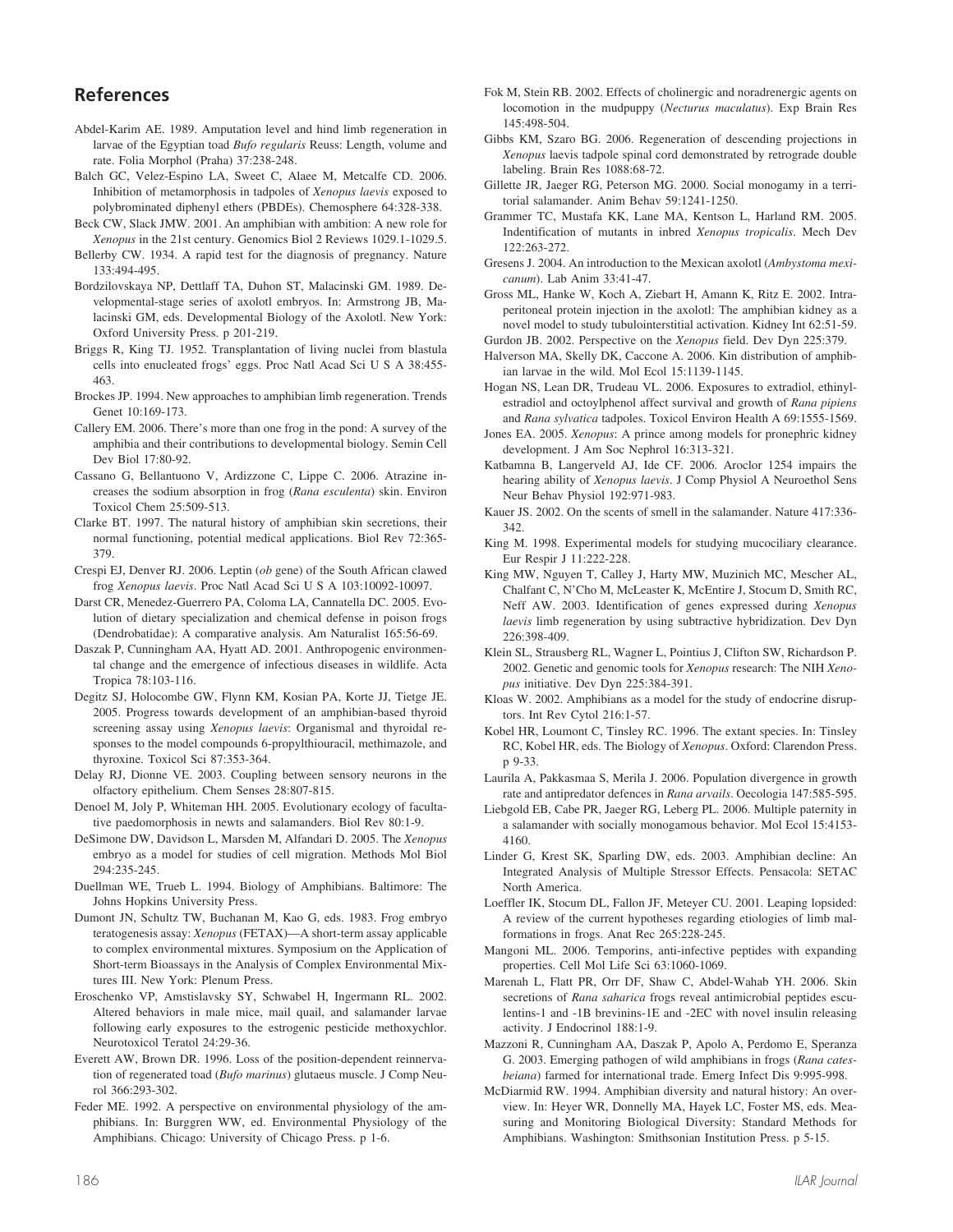# **References**

- Abdel-Karim AE. 1989. Amputation level and hind limb regeneration in larvae of the Egyptian toad *Bufo regularis* Reuss: Length, volume and rate. Folia Morphol (Praha) 37:238-248.
- Balch GC, Velez-Espino LA, Sweet C, Alaee M, Metcalfe CD. 2006. Inhibition of metamorphosis in tadpoles of *Xenopus laevis* exposed to polybrominated diphenyl ethers (PBDEs). Chemosphere 64:328-338.
- Beck CW, Slack JMW. 2001. An amphibian with ambition: A new role for *Xenopus* in the 21st century. Genomics Biol 2 Reviews 1029.1-1029.5.
- Bellerby CW. 1934. A rapid test for the diagnosis of pregnancy. Nature 133:494-495.
- Bordzilovskaya NP, Dettlaff TA, Duhon ST, Malacinski GM. 1989. Developmental-stage series of axolotl embryos. In: Armstrong JB, Malacinski GM, eds. Developmental Biology of the Axolotl. New York: Oxford University Press. p 201-219.
- Briggs R, King TJ. 1952. Transplantation of living nuclei from blastula cells into enucleated frogs' eggs. Proc Natl Acad Sci U S A 38:455-463.
- Brockes JP. 1994. New approaches to amphibian limb regeneration. Trends Genet 10:169-173.
- Callery EM. 2006. There's more than one frog in the pond: A survey of the amphibia and their contributions to developmental biology. Semin Cell Dev Biol 17:80-92.
- Cassano G, Bellantuono V, Ardizzone C, Lippe C. 2006. Atrazine increases the sodium absorption in frog (*Rana esculenta*) skin. Environ Toxicol Chem 25:509-513.
- Clarke BT. 1997. The natural history of amphibian skin secretions, their normal functioning, potential medical applications. Biol Rev 72:365- 379.
- Crespi EJ, Denver RJ. 2006. Leptin (*ob* gene) of the South African clawed frog *Xenopus laevis*. Proc Natl Acad Sci U S A 103:10092-10097.
- Darst CR, Menedez-Guerrero PA, Coloma LA, Cannatella DC. 2005. Evolution of dietary specialization and chemical defense in poison frogs (Dendrobatidae): A comparative analysis. Am Naturalist 165:56-69.
- Daszak P, Cunningham AA, Hyatt AD. 2001. Anthropogenic environmental change and the emergence of infectious diseases in wildlife. Acta Tropica 78:103-116.
- Degitz SJ, Holocombe GW, Flynn KM, Kosian PA, Korte JJ, Tietge JE. 2005. Progress towards development of an amphibian-based thyroid screening assay using *Xenopus laevis*: Organismal and thyroidal responses to the model compounds 6-propylthiouracil, methimazole, and thyroxine. Toxicol Sci 87:353-364.
- Delay RJ, Dionne VE. 2003. Coupling between sensory neurons in the olfactory epithelium. Chem Senses 28:807-815.
- Denoel M, Joly P, Whiteman HH. 2005. Evolutionary ecology of facultative paedomorphosis in newts and salamanders. Biol Rev 80:1-9.
- DeSimone DW, Davidson L, Marsden M, Alfandari D. 2005. The *Xenopus* embryo as a model for studies of cell migration. Methods Mol Biol 294:235-245.
- Duellman WE, Trueb L. 1994. Biology of Amphibians. Baltimore: The Johns Hopkins University Press.
- Dumont JN, Schultz TW, Buchanan M, Kao G, eds. 1983. Frog embryo teratogenesis assay: *Xenopus* (FETAX)—A short-term assay applicable to complex environmental mixtures. Symposium on the Application of Short-term Bioassays in the Analysis of Complex Environmental Mixtures III. New York: Plenum Press.
- Eroschenko VP, Amstislavsky SY, Schwabel H, Ingermann RL. 2002. Altered behaviors in male mice, mail quail, and salamander larvae following early exposures to the estrogenic pesticide methoxychlor. Neurotoxicol Teratol 24:29-36.
- Everett AW, Brown DR. 1996. Loss of the position-dependent reinnervation of regenerated toad (*Bufo marinus*) glutaeus muscle. J Comp Neurol 366:293-302.
- Feder ME. 1992. A perspective on environmental physiology of the amphibians. In: Burggren WW, ed. Environmental Physiology of the Amphibians. Chicago: University of Chicago Press. p 1-6.
- Fok M, Stein RB. 2002. Effects of cholinergic and noradrenergic agents on locomotion in the mudpuppy (*Necturus maculatus*). Exp Brain Res 145:498-504.
- Gibbs KM, Szaro BG. 2006. Regeneration of descending projections in *Xenopus* laevis tadpole spinal cord demonstrated by retrograde double labeling. Brain Res 1088:68-72.
- Gillette JR, Jaeger RG, Peterson MG. 2000. Social monogamy in a territorial salamander. Anim Behav 59:1241-1250.
- Grammer TC, Mustafa KK, Lane MA, Kentson L, Harland RM. 2005. Indentification of mutants in inbred *Xenopus tropicalis*. Mech Dev 122:263-272.
- Gresens J. 2004. An introduction to the Mexican axolotl (*Ambystoma mexicanum*). Lab Anim 33:41-47.
- Gross ML, Hanke W, Koch A, Ziebart H, Amann K, Ritz E. 2002. Intraperitoneal protein injection in the axolotl: The amphibian kidney as a novel model to study tubulointerstitial activation. Kidney Int 62:51-59.
- Gurdon JB. 2002. Perspective on the *Xenopus* field. Dev Dyn 225:379.
- Halverson MA, Skelly DK, Caccone A. 2006. Kin distribution of amphibian larvae in the wild. Mol Ecol 15:1139-1145.
- Hogan NS, Lean DR, Trudeau VL. 2006. Exposures to extradiol, ethinylestradiol and octoylphenol affect survival and growth of *Rana pipiens* and *Rana sylvatica* tadpoles. Toxicol Environ Health A 69:1555-1569.
- Jones EA. 2005. *Xenopus*: A prince among models for pronephric kidney development. J Am Soc Nephrol 16:313-321.
- Katbamna B, Langerveld AJ, Ide CF. 2006. Aroclor 1254 impairs the hearing ability of *Xenopus laevis*. J Comp Physiol A Neuroethol Sens Neur Behav Physiol 192:971-983.
- Kauer JS. 2002. On the scents of smell in the salamander. Nature 417:336- 342.
- King M. 1998. Experimental models for studying mucociliary clearance. Eur Respir J 11:222-228.
- King MW, Nguyen T, Calley J, Harty MW, Muzinich MC, Mescher AL, Chalfant C, N'Cho M, McLeaster K, McEntire J, Stocum D, Smith RC, Neff AW. 2003. Identification of genes expressed during *Xenopus laevis* limb regeneration by using subtractive hybridization. Dev Dyn 226:398-409.
- Klein SL, Strausberg RL, Wagner L, Pointius J, Clifton SW, Richardson P. 2002. Genetic and genomic tools for *Xenopus* research: The NIH *Xenopus* initiative. Dev Dyn 225:384-391.
- Kloas W. 2002. Amphibians as a model for the study of endocrine disruptors. Int Rev Cytol 216:1-57.
- Kobel HR, Loumont C, Tinsley RC. 1996. The extant species. In: Tinsley RC, Kobel HR, eds. The Biology of *Xenopus*. Oxford: Clarendon Press. p 9-33.
- Laurila A, Pakkasmaa S, Merila J. 2006. Population divergence in growth rate and antipredator defences in *Rana arvails*. Oecologia 147:585-595.
- Liebgold EB, Cabe PR, Jaeger RG, Leberg PL. 2006. Multiple paternity in a salamander with socially monogamous behavior. Mol Ecol 15:4153- 4160.
- Linder G, Krest SK, Sparling DW, eds. 2003. Amphibian decline: An Integrated Analysis of Multiple Stressor Effects. Pensacola: SETAC North America.
- Loeffler IK, Stocum DL, Fallon JF, Meteyer CU. 2001. Leaping lopsided: A review of the current hypotheses regarding etiologies of limb malformations in frogs. Anat Rec 265:228-245.
- Mangoni ML. 2006. Temporins, anti-infective peptides with expanding properties. Cell Mol Life Sci 63:1060-1069.
- Marenah L, Flatt PR, Orr DF, Shaw C, Abdel-Wahab YH. 2006. Skin secretions of *Rana saharica* frogs reveal antimicrobial peptides esculentins-1 and -1B brevinins-1E and -2EC with novel insulin releasing activity. J Endocrinol 188:1-9.
- Mazzoni R, Cunningham AA, Daszak P, Apolo A, Perdomo E, Speranza G. 2003. Emerging pathogen of wild amphibians in frogs (*Rana catesbeiana*) farmed for international trade. Emerg Infect Dis 9:995-998.
- McDiarmid RW. 1994. Amphibian diversity and natural history: An overview. In: Heyer WR, Donnelly MA, Hayek LC, Foster MS, eds. Measuring and Monitoring Biological Diversity: Standard Methods for Amphibians. Washington: Smithsonian Institution Press. p 5-15.